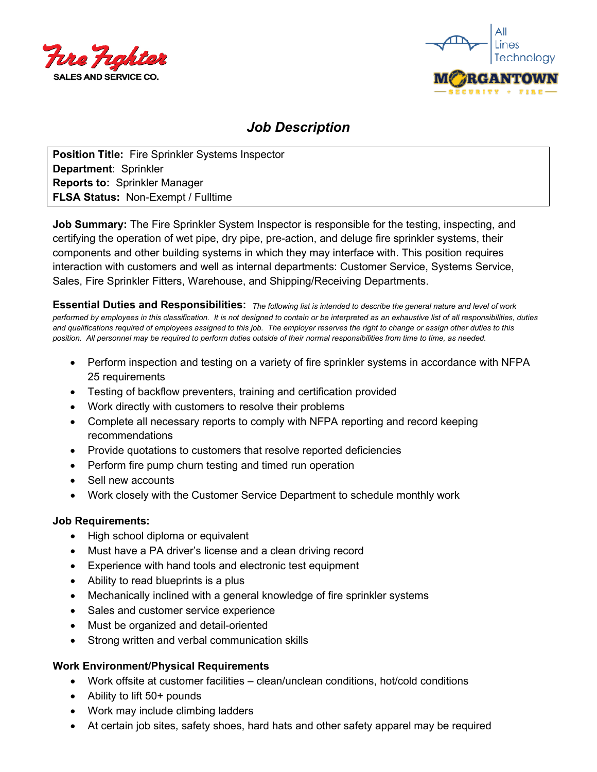



# *Job Description*

**Position Title:** Fire Sprinkler Systems Inspector **Department**: Sprinkler **Reports to:** Sprinkler Manager **FLSA Status:** Non-Exempt / Fulltime

**Job Summary:** The Fire Sprinkler System Inspector is responsible for the testing, inspecting, and certifying the operation of wet pipe, dry pipe, pre-action, and deluge fire sprinkler systems, their components and other building systems in which they may interface with. This position requires interaction with customers and well as internal departments: Customer Service, Systems Service, Sales, Fire Sprinkler Fitters, Warehouse, and Shipping/Receiving Departments.

**Essential Duties and Responsibilities:** *The following list is intended to describe the general nature and level of work performed by employees in this classification. It is not designed to contain or be interpreted as an exhaustive list of all responsibilities, duties and qualifications required of employees assigned to this job. The employer reserves the right to change or assign other duties to this position. All personnel may be required to perform duties outside of their normal responsibilities from time to time, as needed.*

- Perform inspection and testing on a variety of fire sprinkler systems in accordance with NFPA 25 requirements
- Testing of backflow preventers, training and certification provided
- Work directly with customers to resolve their problems
- Complete all necessary reports to comply with NFPA reporting and record keeping recommendations
- Provide quotations to customers that resolve reported deficiencies
- Perform fire pump churn testing and timed run operation
- Sell new accounts
- Work closely with the Customer Service Department to schedule monthly work

### **Job Requirements:**

- High school diploma or equivalent
- Must have a PA driver's license and a clean driving record
- Experience with hand tools and electronic test equipment
- Ability to read blueprints is a plus
- Mechanically inclined with a general knowledge of fire sprinkler systems
- Sales and customer service experience
- Must be organized and detail-oriented
- Strong written and verbal communication skills

### **Work Environment/Physical Requirements**

- Work offsite at customer facilities clean/unclean conditions, hot/cold conditions
- Ability to lift 50+ pounds
- Work may include climbing ladders
- At certain job sites, safety shoes, hard hats and other safety apparel may be required